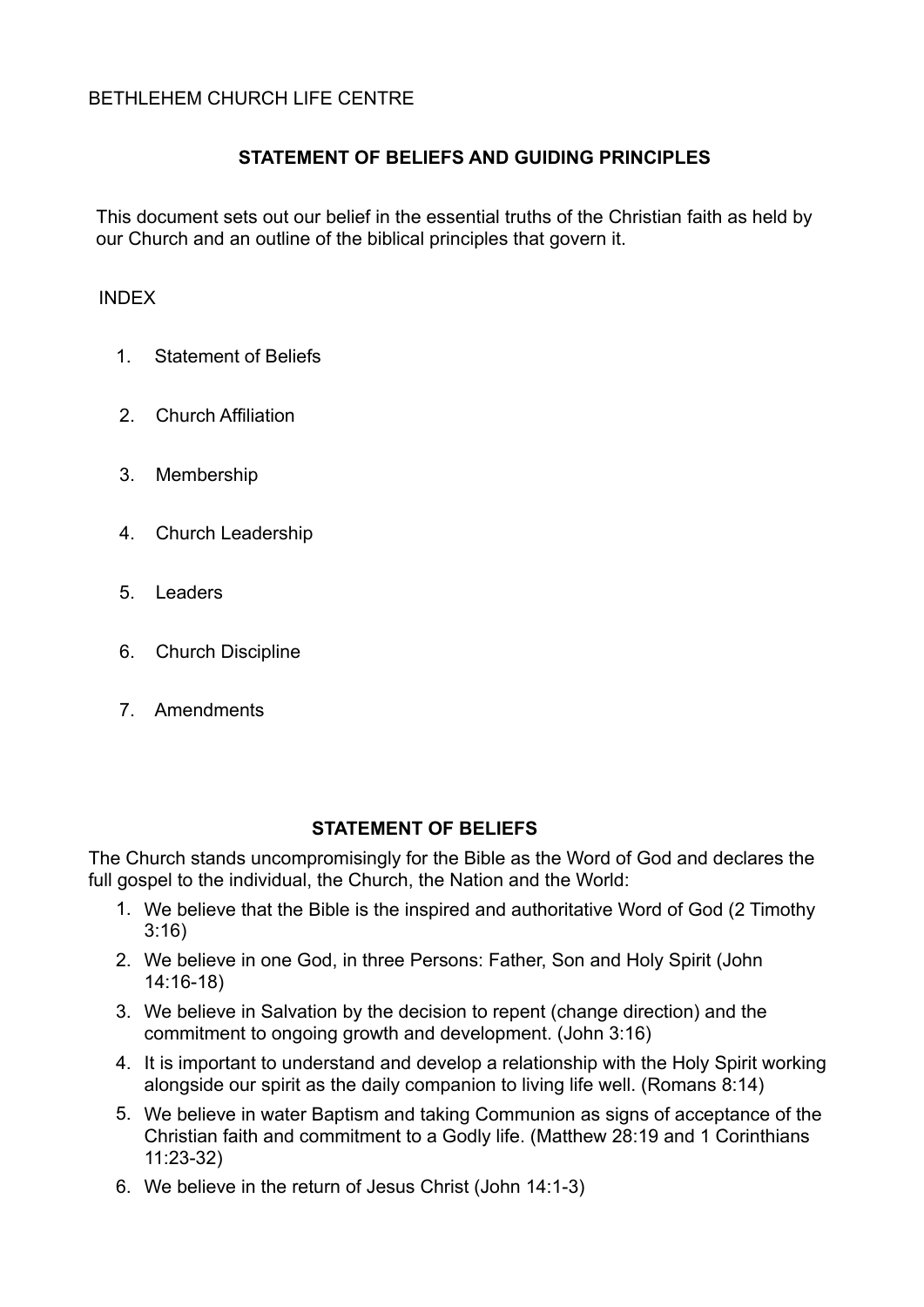## **STATEMENT OF BELIEFS AND GUIDING PRINCIPLES**

This document sets out our belief in the essential truths of the Christian faith as held by our Church and an outline of the biblical principles that govern it.

#### INDEX

- 1. Statement of Beliefs
- 2. Church Affiliation
- 3. Membership
- 4. Church Leadership
- 5. Leaders
- 6. Church Discipline
- 7. Amendments

### **STATEMENT OF BELIEFS**

The Church stands uncompromisingly for the Bible as the Word of God and declares the full gospel to the individual, the Church, the Nation and the World:

- 1. We believe that the Bible is the inspired and authoritative Word of God (2 Timothy 3:16)
- 2. We believe in one God, in three Persons: Father, Son and Holy Spirit (John 14:16-18)
- 3. We believe in Salvation by the decision to repent (change direction) and the commitment to ongoing growth and development. (John 3:16)
- 4. It is important to understand and develop a relationship with the Holy Spirit working alongside our spirit as the daily companion to living life well. (Romans 8:14)
- 5. We believe in water Baptism and taking Communion as signs of acceptance of the Christian faith and commitment to a Godly life. (Matthew 28:19 and 1 Corinthians 11:23-32)
- 6. We believe in the return of Jesus Christ (John 14:1-3)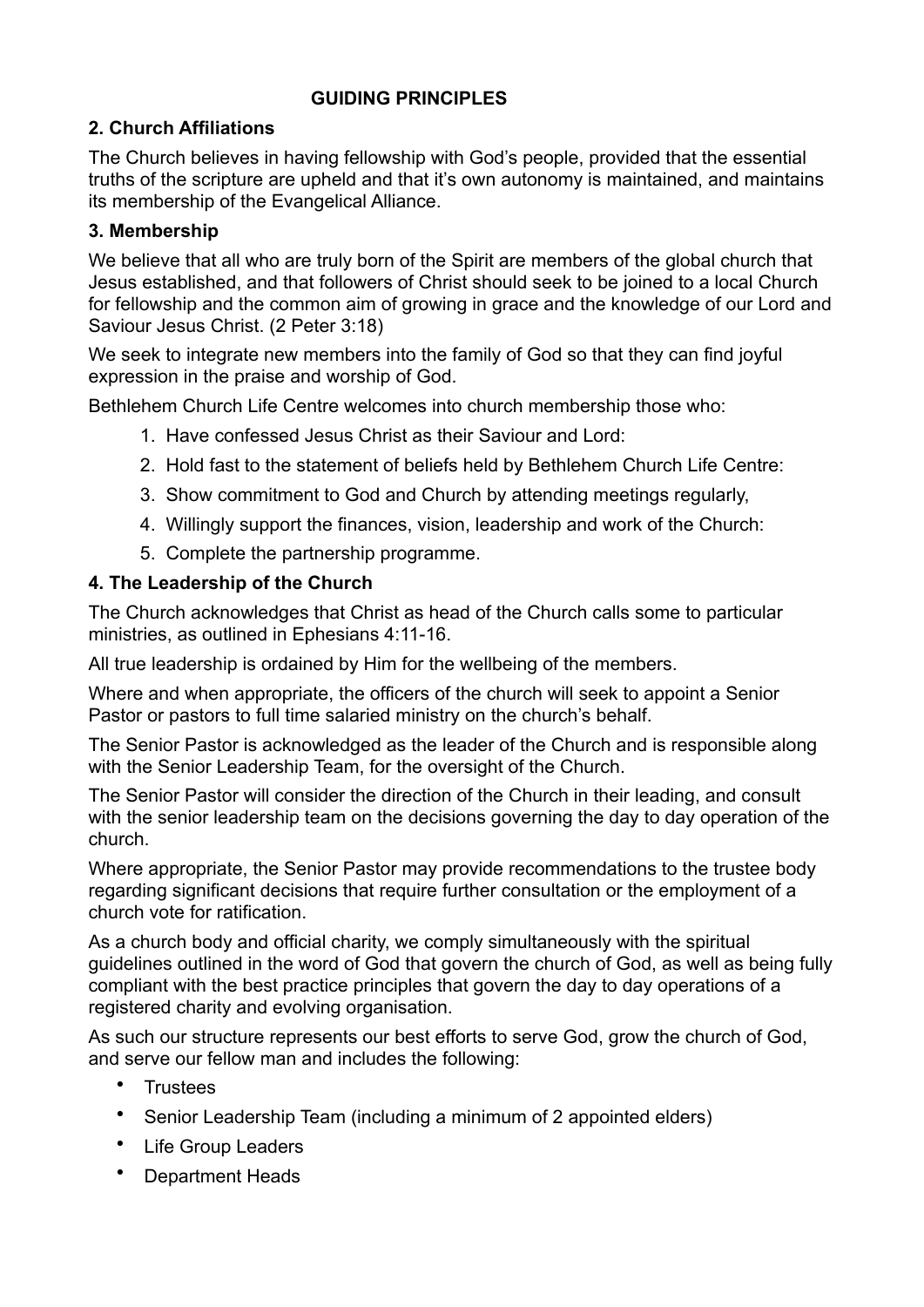# **GUIDING PRINCIPLES**

# **2. Church Affiliations**

The Church believes in having fellowship with God's people, provided that the essential truths of the scripture are upheld and that it's own autonomy is maintained, and maintains its membership of the Evangelical Alliance.

# **3. Membership**

We believe that all who are truly born of the Spirit are members of the global church that Jesus established, and that followers of Christ should seek to be joined to a local Church for fellowship and the common aim of growing in grace and the knowledge of our Lord and Saviour Jesus Christ. (2 Peter 3:18)

We seek to integrate new members into the family of God so that they can find joyful expression in the praise and worship of God.

Bethlehem Church Life Centre welcomes into church membership those who:

- 1. Have confessed Jesus Christ as their Saviour and Lord:
- 2. Hold fast to the statement of beliefs held by Bethlehem Church Life Centre:
- 3. Show commitment to God and Church by attending meetings regularly,
- 4. Willingly support the finances, vision, leadership and work of the Church:
- 5. Complete the partnership programme.

# **4. The Leadership of the Church**

The Church acknowledges that Christ as head of the Church calls some to particular ministries, as outlined in Ephesians 4:11-16.

All true leadership is ordained by Him for the wellbeing of the members.

Where and when appropriate, the officers of the church will seek to appoint a Senior Pastor or pastors to full time salaried ministry on the church's behalf.

The Senior Pastor is acknowledged as the leader of the Church and is responsible along with the Senior Leadership Team, for the oversight of the Church.

The Senior Pastor will consider the direction of the Church in their leading, and consult with the senior leadership team on the decisions governing the day to day operation of the church.

Where appropriate, the Senior Pastor may provide recommendations to the trustee body regarding significant decisions that require further consultation or the employment of a church vote for ratification.

As a church body and official charity, we comply simultaneously with the spiritual guidelines outlined in the word of God that govern the church of God, as well as being fully compliant with the best practice principles that govern the day to day operations of a registered charity and evolving organisation.

As such our structure represents our best efforts to serve God, grow the church of God, and serve our fellow man and includes the following:

- Trustees
- Senior Leadership Team (including a minimum of 2 appointed elders)
- Life Group Leaders
- Department Heads